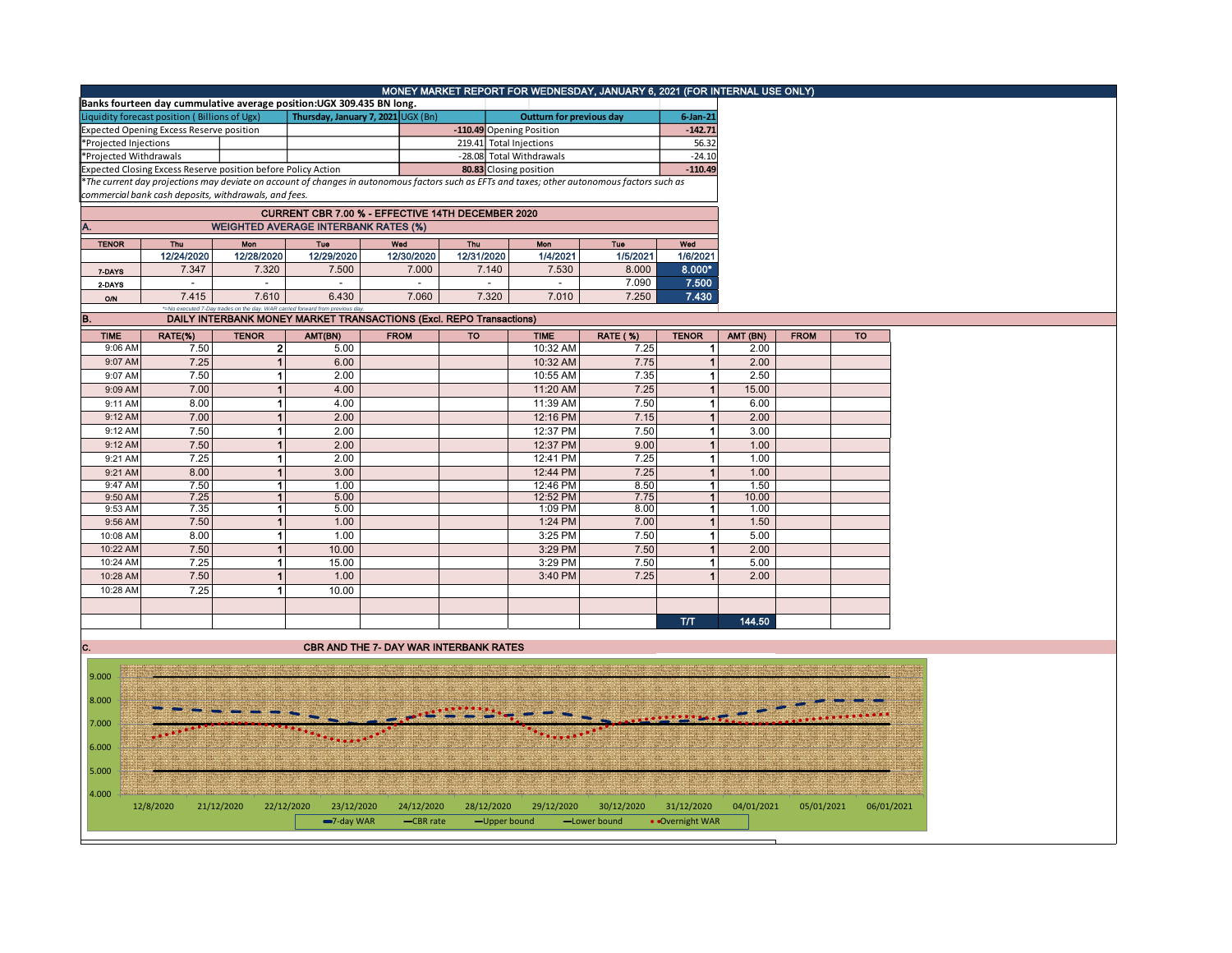|                                                                                                                                                                   |  |                                    | MONEY MARKET REPORT FOR WEDNESDAY, JANUARY 6, 2021 (FOR INTERNAL USE ONLY) |             |  |
|-------------------------------------------------------------------------------------------------------------------------------------------------------------------|--|------------------------------------|----------------------------------------------------------------------------|-------------|--|
| Banks fourteen day cummulative average position:UGX 309.435 BN long.                                                                                              |  |                                    |                                                                            |             |  |
| Liquidity forecast position (Billions of Ugx)                                                                                                                     |  | Thursday, January 7, 2021 UGX (Bn) | Outturn for previous day                                                   | $6$ -Jan-21 |  |
| Expected Opening Excess Reserve position                                                                                                                          |  |                                    | -110.49 Opening Position                                                   | $-142.71$   |  |
| *Proiected Iniections                                                                                                                                             |  |                                    | 219.41 Total Injections                                                    | 56.32       |  |
| *Projected Withdrawals                                                                                                                                            |  |                                    | -28.08 Total Withdrawals                                                   | $-24.10$    |  |
| $\blacksquare$ , and $\blacksquare$ , and $\blacksquare$ , and $\blacksquare$ , and $\blacksquare$ , and $\blacksquare$ , and $\blacksquare$ , and $\blacksquare$ |  |                                    | $\mathbf{a} \cdot \mathbf{a} \cdot \mathbf{a}$                             | $-0.00$     |  |

Expected Closing Excess Reserve position before Policy Action **1996 and Closing So.83** Closing position **1996 and Closing Expected Closing Expected Closing Expected Closing Catalogy 110.49**<br>\*The current day projections may

*commercial bank cash deposits, withdrawals, and fees.*

|              | CURRENT CBR 7.00 % - EFFECTIVE 14TH DECEMBER 2020 |                                             |                          |            |            |                          |            |          |  |  |
|--------------|---------------------------------------------------|---------------------------------------------|--------------------------|------------|------------|--------------------------|------------|----------|--|--|
| Α.           |                                                   | <b>WEIGHTED AVERAGE INTERBANK RATES (%)</b> |                          |            |            |                          |            |          |  |  |
| <b>TENOR</b> | Thu                                               | <b>Mon</b>                                  | <b>Tue</b>               | Wed        | <b>Thu</b> | <b>Mon</b>               | <b>Tue</b> | Wed      |  |  |
|              | 12/24/2020                                        | 12/28/2020                                  | 12/29/2020               | 12/30/2020 | 12/31/2020 | 1/4/2021                 | 1/5/2021   | 1/6/2021 |  |  |
| 7-DAYS       | 7.347                                             | 7.320                                       | 7.500                    | 7.000      | 7.140      | 7.530                    | 8.000      | $8.000*$ |  |  |
| 2-DAYS       | -                                                 | -                                           | $\overline{\phantom{a}}$ | -          | -          | $\overline{\phantom{a}}$ | 7.090      | 7.500    |  |  |
| O/N          | 7.415                                             | 7.610                                       | 6.430                    | 7.060      | 7.320      | 7.010                    | 7.250      | 7.430    |  |  |
|              |                                                   |                                             |                          |            |            |                          |            |          |  |  |

## **B.** The executed 7-*Day trades on the day. WAR carried forward from previous day.*<br>B. DAILY INTERBANK MONEY MARKET TRANSACTIONS (Excl. REPO Transactions)

| <b>TIME</b> | RATE(%) | <b>TENOR</b> | AMT(BN) | <b>FROM</b> | <b>TO</b> | <b>TIME</b> | <b>RATE (%)</b> | <b>TENOR</b>         | AMT (BN) | <b>FROM</b> | <b>TO</b> |
|-------------|---------|--------------|---------|-------------|-----------|-------------|-----------------|----------------------|----------|-------------|-----------|
| 9:06 AM     | 7.50    | $\mathbf{2}$ | 5.00    |             |           | 10:32 AM    | 7.25            |                      | 2.00     |             |           |
| 9:07 AM     | 7.25    |              | 6.00    |             |           | 10:32 AM    | 7.75            |                      | 2.00     |             |           |
| 9:07 AM     | 7.50    |              | 2.00    |             |           | 10:55 AM    | 7.35            |                      | 2.50     |             |           |
| 9:09 AM     | 7.00    |              | 4.00    |             |           | 11:20 AM    | 7.25            |                      | 15.00    |             |           |
| 9:11 AM     | 8.00    |              | 4.00    |             |           | 11:39 AM    | 7.50            |                      | 6.00     |             |           |
| 9:12 AM     | 7.00    |              | 2.00    |             |           | 12:16 PM    | 7.15            |                      | 2.00     |             |           |
| 9:12 AM     | 7.50    |              | 2.00    |             |           | 12:37 PM    | 7.50            |                      | 3.00     |             |           |
| 9:12 AM     | 7.50    |              | 2.00    |             |           | 12:37 PM    | 9.00            |                      | 1.00     |             |           |
| 9:21 AM     | 7.25    |              | 2.00    |             |           | 12:41 PM    | 7.25            |                      | 1.00     |             |           |
| 9:21 AM     | 8.00    |              | 3.00    |             |           | 12:44 PM    | 7.25            |                      | 1.00     |             |           |
| 9:47 AM     | 7.50    |              | 1.00    |             |           | 12:46 PM    | 8.50            |                      | 1.50     |             |           |
| 9:50 AM     | 7.25    |              | 5.00    |             |           | 12:52 PM    | 7.75            |                      | 10.00    |             |           |
| 9:53 AM     | 7.35    |              | 5.00    |             |           | 1:09 PM     | 8.00            |                      | 1.00     |             |           |
| 9:56 AM     | 7.50    |              | 1.00    |             |           | 1:24 PM     | 7.00            |                      | 1.50     |             |           |
| 10:08 AM    | 8.00    |              | 1.00    |             |           | 3:25 PM     | 7.50            |                      | 5.00     |             |           |
| 10:22 AM    | 7.50    |              | 10.00   |             |           | 3:29 PM     | 7.50            |                      | 2.00     |             |           |
| 10:24 AM    | 7.25    |              | 15.00   |             |           | 3:29 PM     | 7.50            |                      | 5.00     |             |           |
| 10:28 AM    | 7.50    |              | 1.00    |             |           | 3:40 PM     | 7.25            | $\blacktriangleleft$ | 2.00     |             |           |
| 10:28 AM    | 7.25    |              | 10.00   |             |           |             |                 |                      |          |             |           |
|             |         |              |         |             |           |             |                 |                      |          |             |           |
|             |         |              |         |             |           |             |                 | <b>Т/Т</b>           | 144.50   |             |           |

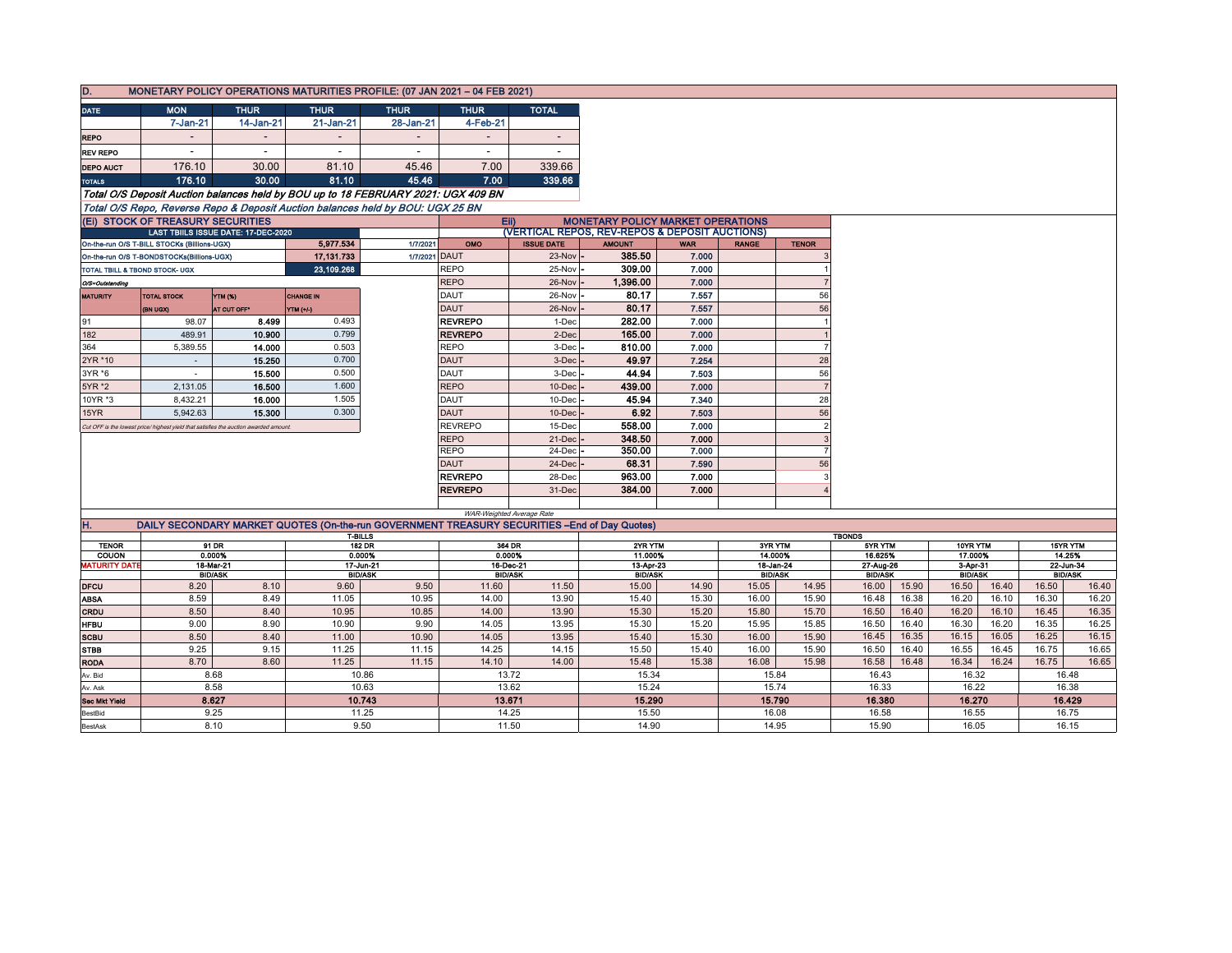| D.                   |                                             |                                                                                      |                          | MONETARY POLICY OPERATIONS MATURITIES PROFILE: (07 JAN 2021 - 04 FEB 2021)                     |                             |                           |                                                |            |              |                             |                             |       |                            |       |       |                             |
|----------------------|---------------------------------------------|--------------------------------------------------------------------------------------|--------------------------|------------------------------------------------------------------------------------------------|-----------------------------|---------------------------|------------------------------------------------|------------|--------------|-----------------------------|-----------------------------|-------|----------------------------|-------|-------|-----------------------------|
| <b>DATE</b>          | <b>MON</b>                                  | <b>THUR</b>                                                                          | <b>THUR</b>              | <b>THUR</b>                                                                                    | <b>THUR</b>                 | <b>TOTAL</b>              |                                                |            |              |                             |                             |       |                            |       |       |                             |
|                      | 7-Jan-21                                    | 14-Jan-21                                                                            | 21-Jan-21                | 28-Jan-21                                                                                      | 4-Feb-21                    |                           |                                                |            |              |                             |                             |       |                            |       |       |                             |
| <b>REPO</b>          | $\overline{a}$                              | $\overline{\phantom{a}}$                                                             | $\overline{\phantom{a}}$ |                                                                                                |                             | $\overline{\phantom{a}}$  |                                                |            |              |                             |                             |       |                            |       |       |                             |
|                      |                                             |                                                                                      |                          |                                                                                                |                             |                           |                                                |            |              |                             |                             |       |                            |       |       |                             |
| <b>REV REPO</b>      | $\overline{\phantom{a}}$                    |                                                                                      |                          |                                                                                                |                             |                           |                                                |            |              |                             |                             |       |                            |       |       |                             |
| <b>DEPO AUCT</b>     | 176.10                                      | 30.00                                                                                | 81.10                    | 45.46                                                                                          | 7.00                        | 339.66                    |                                                |            |              |                             |                             |       |                            |       |       |                             |
| <b>TOTALS</b>        | 176.10                                      | 30.00                                                                                | 81.10                    | 45.46                                                                                          | 7.00                        | 339.66                    |                                                |            |              |                             |                             |       |                            |       |       |                             |
|                      |                                             |                                                                                      |                          | Total O/S Deposit Auction balances held by BOU up to 18 FEBRUARY 2021: UGX 409 BN              |                             |                           |                                                |            |              |                             |                             |       |                            |       |       |                             |
|                      |                                             |                                                                                      |                          | Total O/S Repo, Reverse Repo & Deposit Auction balances held by BOU: UGX 25 BN                 |                             |                           |                                                |            |              |                             |                             |       |                            |       |       |                             |
|                      | (Ei) STOCK OF TREASURY SECURITIES           |                                                                                      |                          |                                                                                                | Eii)                        |                           | <b>MONETARY POLICY MARKET OPERATIONS</b>       |            |              |                             |                             |       |                            |       |       |                             |
|                      |                                             | <b>LAST TBIILS ISSUE DATE: 17-DEC-2020</b>                                           |                          |                                                                                                |                             |                           | (VERTICAL REPOS, REV-REPOS & DEPOSIT AUCTIONS) |            |              |                             |                             |       |                            |       |       |                             |
|                      | On-the-run O/S T-BILL STOCKs (Billions-UGX) |                                                                                      | 5,977.534                | 1/7/2021                                                                                       | OMO                         | <b>ISSUE DATE</b>         | <b>AMOUNT</b>                                  | <b>WAR</b> | <b>RANGE</b> | <b>TENOR</b>                |                             |       |                            |       |       |                             |
|                      | On-the-run O/S T-BONDSTOCKs(Billions-UGX)   |                                                                                      | 17,131.733               | 1/7/2021 DAUT                                                                                  |                             | 23-Nov                    | 385.50                                         | 7.000      |              |                             |                             |       |                            |       |       |                             |
|                      | TOTAL TBILL & TBOND STOCK- UGX              |                                                                                      | 23,109.268               |                                                                                                | <b>REPO</b>                 | 25-Nov                    | 309.00                                         | 7.000      |              |                             |                             |       |                            |       |       |                             |
| O/S=Outstanding      |                                             |                                                                                      |                          |                                                                                                | <b>REPO</b>                 | 26-Nov                    | 1,396.00                                       | 7.000      |              |                             |                             |       |                            |       |       |                             |
| <b>MATURITY</b>      | <b>TOTAL STOCK</b>                          | YTM (%)                                                                              | <b>CHANGE IN</b>         |                                                                                                | DAUT                        | 26-Nov                    | 80.17                                          | 7.557      |              | 56                          |                             |       |                            |       |       |                             |
|                      | (BN UGX)                                    | AT CUT OFF*                                                                          | YTM (+/-)                |                                                                                                | <b>DAUT</b>                 | 26-Nov                    | 80.17                                          | 7.557      |              | 56                          |                             |       |                            |       |       |                             |
| 91                   | 98.07                                       | 8.499                                                                                | 0.493                    |                                                                                                | <b>REVREPO</b>              | 1-Dec                     | 282.00                                         | 7.000      |              | $\overline{1}$              |                             |       |                            |       |       |                             |
| 182                  | 489.91                                      | 10.900                                                                               | 0.799                    |                                                                                                | <b>REVREPO</b>              | 2-Dec                     | 165.00                                         | 7.000      |              |                             |                             |       |                            |       |       |                             |
| 364                  | 5,389.55                                    | 14.000                                                                               | 0.503                    |                                                                                                | <b>REPO</b>                 | 3-Dec                     | 810.00                                         | 7.000      |              | $\overline{7}$              |                             |       |                            |       |       |                             |
| 2YR *10              | $\sim$                                      | 15.250                                                                               | 0.700                    |                                                                                                | <b>DAUT</b>                 | 3-Dec                     | 49.97                                          | 7.254      |              | 28                          |                             |       |                            |       |       |                             |
| 3YR *6               | $\overline{\phantom{a}}$                    | 15.500                                                                               | 0.500                    |                                                                                                | DAUT                        | 3-Dec                     | 44.94                                          | 7.503      |              | 56                          |                             |       |                            |       |       |                             |
| 5YR *2               | 2,131.05                                    | 16.500                                                                               | 1.600                    |                                                                                                | <b>REPO</b>                 | 10-Dec                    | 439.00                                         | 7.000      |              | $\overline{7}$              |                             |       |                            |       |       |                             |
| 10YR *3              | 8,432.21                                    | 16.000                                                                               | 1.505                    |                                                                                                | DAUT                        | 10-Dec                    | 45.94                                          | 7.340      |              |                             |                             |       |                            |       |       |                             |
|                      |                                             |                                                                                      | 0.300                    |                                                                                                |                             |                           |                                                |            |              | 28                          |                             |       |                            |       |       |                             |
| 15YR                 | 5,942.63                                    | 15.300                                                                               |                          |                                                                                                | DAUT                        | 10-Dec                    | 6.92                                           | 7.503      |              | 56                          |                             |       |                            |       |       |                             |
|                      |                                             | Cut OFF is the lowest price/ highest yield that satisfies the auction awarded amount |                          |                                                                                                | <b>REVREPO</b>              | 15-Dec                    | 558.00                                         | 7.000      |              | $\overline{2}$              |                             |       |                            |       |       |                             |
|                      |                                             |                                                                                      |                          |                                                                                                | <b>REPO</b>                 | 21-Dec                    | 348.50                                         | 7.000      |              | 3                           |                             |       |                            |       |       |                             |
|                      |                                             |                                                                                      |                          |                                                                                                | <b>REPO</b>                 | 24-Dec                    | 350.00                                         | 7.000      |              | $\overline{7}$              |                             |       |                            |       |       |                             |
|                      |                                             |                                                                                      |                          |                                                                                                | <b>DAUT</b>                 | 24-Dec                    | 68.31                                          | 7.590      |              | 56                          |                             |       |                            |       |       |                             |
|                      |                                             |                                                                                      |                          |                                                                                                | <b>REVREPO</b>              | 28-Dec                    | 963.00                                         | 7.000      |              |                             |                             |       |                            |       |       |                             |
|                      |                                             |                                                                                      |                          |                                                                                                | <b>REVREPO</b>              | 31-Dec                    | 384.00                                         | 7.000      |              |                             |                             |       |                            |       |       |                             |
|                      |                                             |                                                                                      |                          |                                                                                                |                             |                           |                                                |            |              |                             |                             |       |                            |       |       |                             |
| H.                   |                                             |                                                                                      |                          | DAILY SECONDARY MARKET QUOTES (On-the-run GOVERNMENT TREASURY SECURITIES -- End of Day Quotes) |                             | WAR-Weighted Average Rate |                                                |            |              |                             |                             |       |                            |       |       |                             |
|                      |                                             |                                                                                      |                          | T-BILLS                                                                                        |                             |                           |                                                |            |              |                             | <b>TBONDS</b>               |       |                            |       |       |                             |
| <b>TENOR</b>         |                                             | 91 DR                                                                                |                          | <b>182 DR</b>                                                                                  | 364 DR                      |                           | 2YR YTM                                        |            |              | 3YR YTM                     | 5YR YTM                     |       | 10YR YTM                   |       |       | 15YR YTM                    |
| COUON                |                                             | 0.000%                                                                               |                          | 0.000%                                                                                         | 0.000%                      |                           | 11.000%                                        |            |              | 14.000%                     | 16.625%                     |       | 17.000%                    |       |       | 14.25%                      |
| <b>MATURITY DATE</b> |                                             | 18-Mar-21<br><b>BID/ASK</b>                                                          |                          | 17 Jun 21<br><b>BID/ASK</b>                                                                    | 16-Dec-21<br><b>BID/ASK</b> |                           | 13-Apr-23<br><b>BID/ASK</b>                    |            |              | 18-Jan-24<br><b>BID/ASK</b> | 27-Aug-26<br><b>BID/ASK</b> |       | 3 Apr 31<br><b>BID/ASK</b> |       |       | 22 Jun-34<br><b>BID/ASK</b> |
| DFCU                 | 8.20                                        | 8.10                                                                                 | 9.60                     | 9.50                                                                                           | 11.60                       | 11.50                     | 15.00                                          | 14.90      | 15.05        | 14.95                       | 16.00                       | 15.90 | 16.50                      | 16.40 | 16.50 | 16.40                       |
| <b>ABSA</b>          | 8.59                                        | 8.49                                                                                 | 11.05                    | 10.95                                                                                          | 14.00                       | 13.90                     | 15.40                                          | 15.30      | 16.00        | 15.90                       | 16.48                       | 16.38 | 16.20                      | 16.10 | 16.30 | 16.20                       |
| CRDU                 | 8.50                                        | 8.40                                                                                 | 10.95                    | 10.85                                                                                          | 14.00                       | 13.90                     | 15.30                                          | 15.20      | 15.80        | 15.70                       | 16.50                       | 16.40 | 16.20                      | 16.10 | 16.45 | 16.35                       |
| <b>HFBU</b>          | 9.00                                        | 8.90                                                                                 | 10.90                    | 9.90                                                                                           | 14.05                       | 13.95                     | 15.30                                          | 15.20      | 15.95        | 15.85                       | 16.50                       | 16.40 | 16.30                      | 16.20 | 16.35 | 16.25                       |
| <b>SCBU</b>          | 8.50                                        | 8.40                                                                                 | 11.00                    | 10.90                                                                                          | 14.05                       | 13.95                     | 15.40                                          | 15.30      | 16.00        | 15.90                       | 16.45                       | 16.35 | 16.15                      | 16.05 | 16.25 | 16.15                       |
| <b>STBB</b>          | 9.25                                        | 9.15                                                                                 | 11.25                    | 11.15                                                                                          | 14.25                       | 14.15                     | 15.50                                          | 15.40      | 16.00        | 15.90                       | 16.50                       | 16.40 | 16.55                      | 16.45 | 16.75 | 16.65                       |
| <b>RODA</b>          | 8.70                                        | 8.60                                                                                 | 11.25                    | 11.15                                                                                          | 14.10                       | 14.00                     | 15.48                                          | 15.38      | 16.08        | 15.98                       | 16.58                       | 16.48 | 16.34                      | 16.24 | 16.75 | 16.65                       |
| Av. Bid              |                                             | 8.68                                                                                 |                          | 10.86                                                                                          | 13.72                       |                           | 15.34                                          |            |              | 15.84                       | 16.43                       |       | 16.32                      |       |       | 16.48                       |
| Av. Ask              |                                             | 8.58                                                                                 |                          | 10.63                                                                                          | 13.62                       |                           | 15.24                                          |            |              | 15.74                       | 16.33                       |       | 16.22                      |       |       | 16.38                       |
|                      |                                             | 8.627                                                                                |                          | 10.743                                                                                         | 13.671                      |                           | 15.290                                         |            |              | 15.790                      | 16.380                      |       | 16.270                     |       |       | 16.429                      |
| <b>Sec Mkt Yield</b> |                                             | 9.25                                                                                 |                          | 11.25                                                                                          | 14.25                       |                           | 15.50                                          |            |              | 16.08                       | 16.58                       |       | 16.55                      |       |       | 16.75                       |
| BestBid              |                                             | 8.10                                                                                 |                          |                                                                                                |                             |                           |                                                |            |              | 14.95                       | 15.90                       |       |                            |       |       |                             |
| <b>BestAsk</b>       |                                             |                                                                                      |                          | 9.50                                                                                           | 11.50                       |                           | 14.90                                          |            |              |                             |                             |       | 16.05                      |       |       | 16.15                       |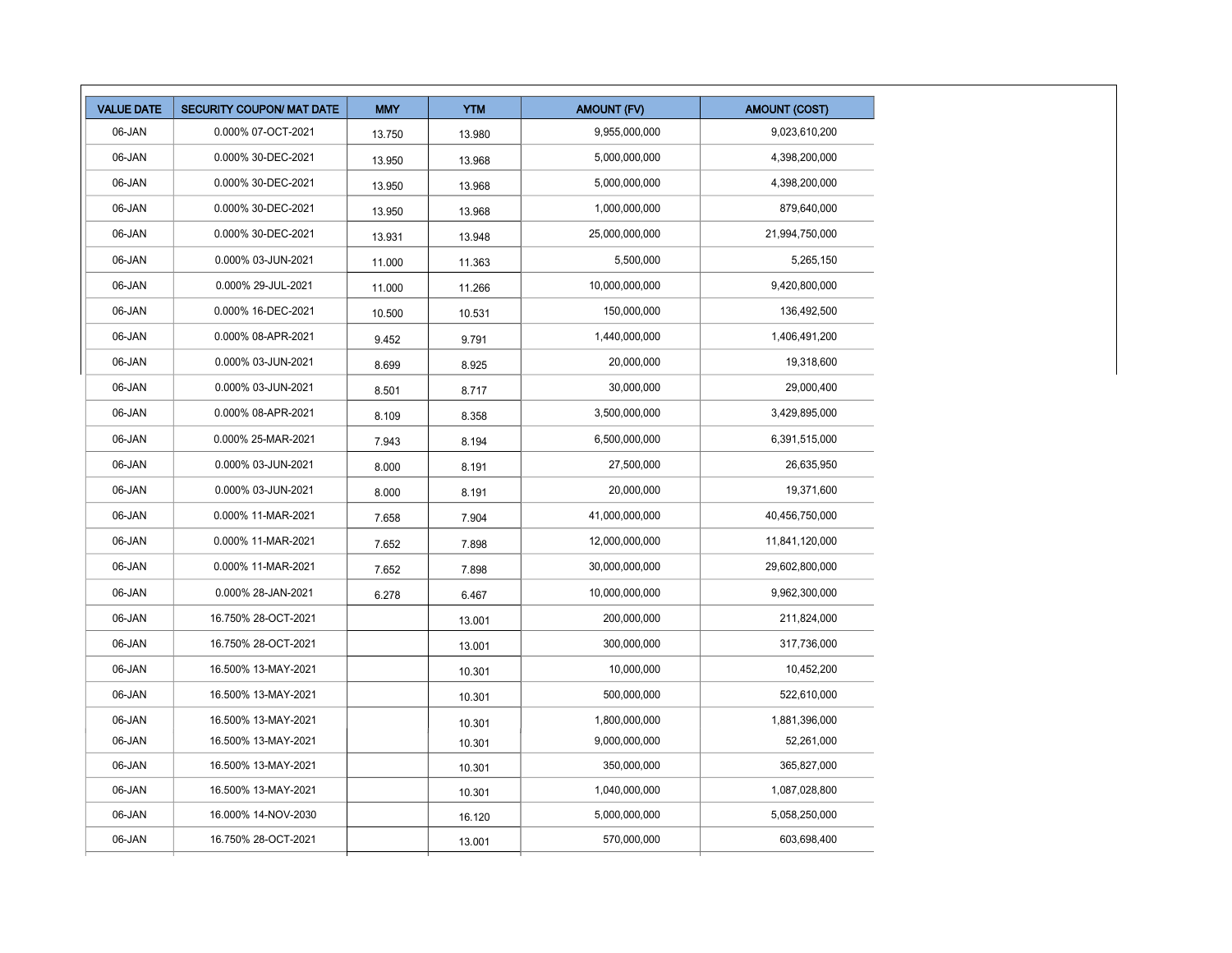| <b>VALUE DATE</b> | SECURITY COUPON/ MAT DATE | <b>MMY</b> | <b>YTM</b> | <b>AMOUNT (FV)</b> | <b>AMOUNT (COST)</b> |
|-------------------|---------------------------|------------|------------|--------------------|----------------------|
| 06-JAN            | 0.000% 07-OCT-2021        | 13.750     | 13.980     | 9,955,000,000      | 9,023,610,200        |
| 06-JAN            | 0.000% 30-DEC-2021        | 13.950     | 13.968     | 5,000,000,000      | 4,398,200,000        |
| 06-JAN            | 0.000% 30-DEC-2021        | 13.950     | 13.968     | 5,000,000,000      | 4,398,200,000        |
| 06-JAN            | 0.000% 30-DEC-2021        | 13.950     | 13.968     | 1,000,000,000      | 879,640,000          |
| 06-JAN            | 0.000% 30-DEC-2021        | 13.931     | 13.948     | 25,000,000,000     | 21,994,750,000       |
| 06-JAN            | 0.000% 03-JUN-2021        | 11.000     | 11.363     | 5,500,000          | 5,265,150            |
| 06-JAN            | 0.000% 29-JUL-2021        | 11.000     | 11.266     | 10,000,000,000     | 9,420,800,000        |
| 06-JAN            | 0.000% 16-DEC-2021        | 10.500     | 10.531     | 150,000,000        | 136,492,500          |
| 06-JAN            | 0.000% 08-APR-2021        | 9.452      | 9.791      | 1,440,000,000      | 1,406,491,200        |
| 06-JAN            | 0.000% 03-JUN-2021        | 8.699      | 8.925      | 20,000,000         | 19,318,600           |
| 06-JAN            | 0.000% 03-JUN-2021        | 8.501      | 8.717      | 30,000,000         | 29,000,400           |
| 06-JAN            | 0.000% 08-APR-2021        | 8.109      | 8.358      | 3,500,000,000      | 3,429,895,000        |
| 06-JAN            | 0.000% 25-MAR-2021        | 7.943      | 8.194      | 6,500,000,000      | 6,391,515,000        |
| 06-JAN            | 0.000% 03-JUN-2021        | 8.000      | 8.191      | 27,500,000         | 26,635,950           |
| 06-JAN            | 0.000% 03-JUN-2021        | 8.000      | 8.191      | 20,000,000         | 19,371,600           |
| 06-JAN            | 0.000% 11-MAR-2021        | 7.658      | 7.904      | 41,000,000,000     | 40,456,750,000       |
| 06-JAN            | 0.000% 11-MAR-2021        | 7.652      | 7.898      | 12,000,000,000     | 11,841,120,000       |
| 06-JAN            | 0.000% 11-MAR-2021        | 7.652      | 7.898      | 30,000,000,000     | 29,602,800,000       |
| 06-JAN            | 0.000% 28-JAN-2021        | 6.278      | 6.467      | 10,000,000,000     | 9,962,300,000        |
| 06-JAN            | 16.750% 28-OCT-2021       |            | 13.001     | 200,000,000        | 211,824,000          |
| 06-JAN            | 16.750% 28-OCT-2021       |            | 13.001     | 300,000,000        | 317,736,000          |
| 06-JAN            | 16.500% 13-MAY-2021       |            | 10.301     | 10,000,000         | 10,452,200           |
| 06-JAN            | 16.500% 13-MAY-2021       |            | 10.301     | 500,000,000        | 522,610,000          |
| 06-JAN            | 16.500% 13-MAY-2021       |            | 10.301     | 1,800,000,000      | 1,881,396,000        |
| 06-JAN            | 16.500% 13-MAY-2021       |            | 10.301     | 9,000,000,000      | 52,261,000           |
| 06-JAN            | 16.500% 13-MAY-2021       |            | 10.301     | 350,000,000        | 365,827,000          |
| 06-JAN            | 16.500% 13-MAY-2021       |            | 10.301     | 1,040,000,000      | 1,087,028,800        |
| 06-JAN            | 16.000% 14-NOV-2030       |            | 16.120     | 5,000,000,000      | 5,058,250,000        |
| 06-JAN            | 16.750% 28-OCT-2021       |            | 13.001     | 570,000,000        | 603,698,400          |
|                   |                           |            |            |                    |                      |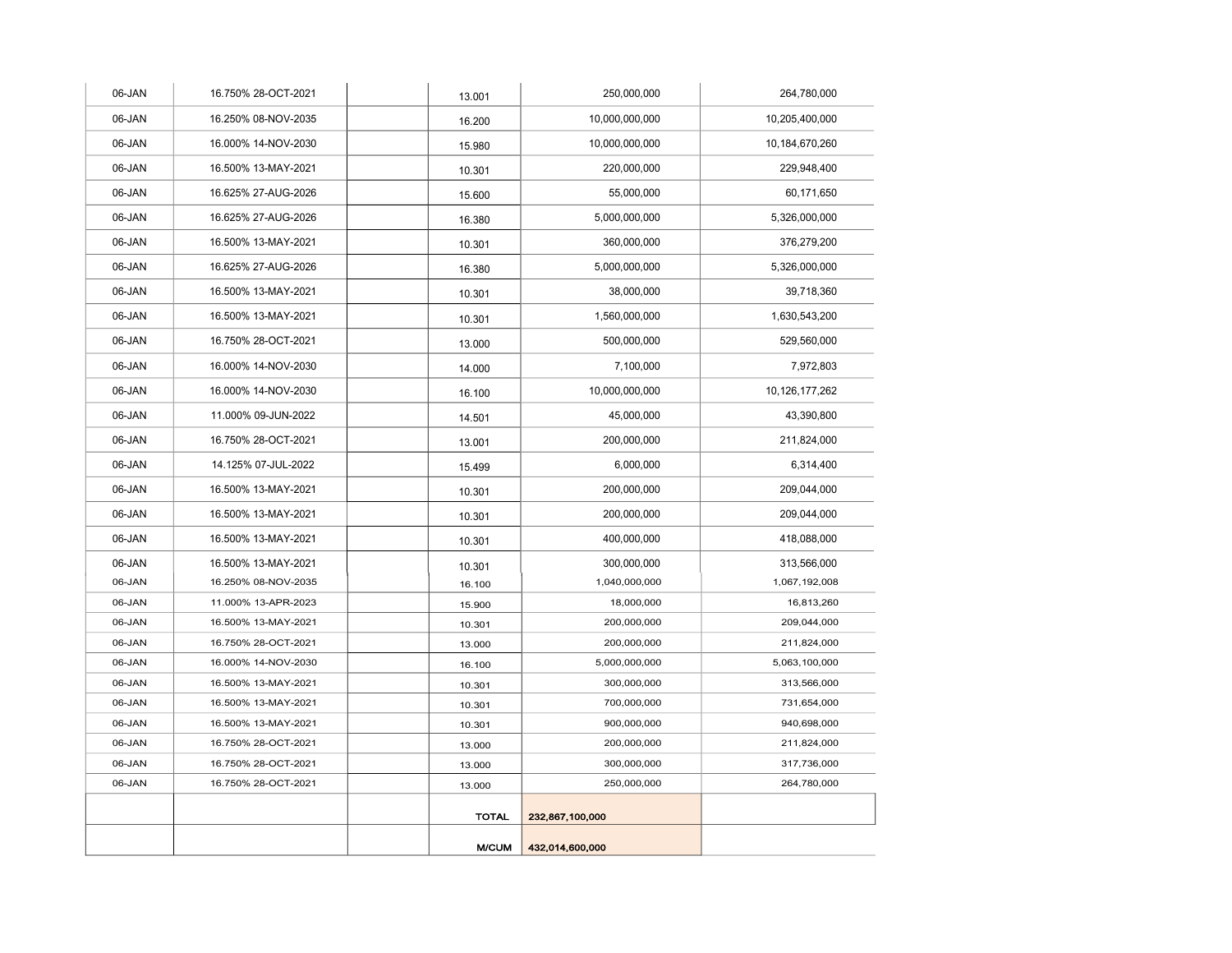|                  |                                            | <b>M/CUM</b>     | 432,014,600,000              |                              |
|------------------|--------------------------------------------|------------------|------------------------------|------------------------------|
|                  |                                            | <b>TOTAL</b>     | 232,867,100,000              |                              |
| 06-JAN           | 16.750% 28-OCT-2021                        | 13.000           | 250,000,000                  | 264,780,000                  |
| 06-JAN           | 16.750% 28-OCT-2021                        | 13.000           | 300,000,000                  | 317,736,000                  |
| 06-JAN           | 16.750% 28-OCT-2021                        | 13.000           | 200,000,000                  | 211,824,000                  |
| 06-JAN           | 16.500% 13-MAY-2021                        | 10.301           | 900,000,000                  | 940,698,000                  |
| 06-JAN           | 16.500% 13-MAY-2021                        | 10.301           | 700,000,000                  | 731,654,000                  |
| 06-JAN           | 16.500% 13-MAY-2021                        | 10.301           | 300,000,000                  | 313,566,000                  |
| 06-JAN           | 16.000% 14-NOV-2030                        | 16.100           | 5,000,000,000                | 5,063,100,000                |
| 06-JAN           | 16.750% 28-OCT-2021                        | 13.000           | 200,000,000                  | 211,824,000                  |
| 06-JAN           | 16.500% 13-MAY-2021                        | 10.301           | 200,000,000                  | 209,044,000                  |
| 06-JAN           | 11.000% 13-APR-2023                        | 16.100<br>15.900 | 18,000,000                   | 16,813,260                   |
| 06-JAN<br>06-JAN | 16.500% 13-MAY-2021<br>16.250% 08-NOV-2035 | 10.301           | 300,000,000<br>1,040,000,000 | 313,566,000<br>1,067,192,008 |
|                  |                                            | 10.301           |                              |                              |
| 06-JAN           | 16.500% 13-MAY-2021                        |                  | 400,000,000                  | 418,088,000                  |
| 06-JAN           | 16.500% 13-MAY-2021                        | 10.301           | 200,000,000                  | 209,044,000                  |
| 06-JAN           | 16.500% 13-MAY-2021                        | 10.301           | 200,000,000                  | 209,044,000                  |
| 06-JAN           | 14.125% 07-JUL-2022                        | 15.499           | 6,000,000                    | 6,314,400                    |
| 06-JAN           | 16.750% 28-OCT-2021                        | 13.001           | 200,000,000                  | 211,824,000                  |
| 06-JAN           | 11.000% 09-JUN-2022                        | 14.501           | 45,000,000                   | 43,390,800                   |
| 06-JAN           | 16.000% 14-NOV-2030                        | 16.100           | 10,000,000,000               | 10,126,177,262               |
| 06-JAN           | 16.000% 14-NOV-2030                        | 14.000           | 7,100,000                    | 7,972,803                    |
| 06-JAN           | 16.750% 28-OCT-2021                        | 13.000           | 500,000,000                  | 529,560,000                  |
| 06-JAN           | 16.500% 13-MAY-2021                        | 10.301           | 1,560,000,000                | 1,630,543,200                |
|                  |                                            | 10.301           |                              |                              |
| 06-JAN           | 16.500% 13-MAY-2021                        | 16.380           | 38,000,000                   | 39,718,360                   |
| 06-JAN           | 16.625% 27-AUG-2026                        | 10.301           | 5,000,000,000                | 5,326,000,000                |
| 06-JAN           | 16.500% 13-MAY-2021                        |                  | 360,000,000                  | 376,279,200                  |
| 06-JAN           | 16.625% 27-AUG-2026                        | 16.380           | 5,000,000,000                | 5,326,000,000                |
| 06-JAN           | 16.625% 27-AUG-2026                        | 15.600           | 55,000,000                   | 60,171,650                   |
| 06-JAN           | 16.500% 13-MAY-2021                        | 10.301           | 220,000,000                  | 229,948,400                  |
| 06-JAN           | 16.000% 14-NOV-2030                        | 15.980           | 10,000,000,000               | 10,184,670,260               |
| 06-JAN           | 16.250% 08-NOV-2035                        | 16.200           | 10,000,000,000               | 10,205,400,000               |
| 06-JAN           | 16.750% 28-OCT-2021                        | 13.001           | 250,000,000                  | 264,780,000                  |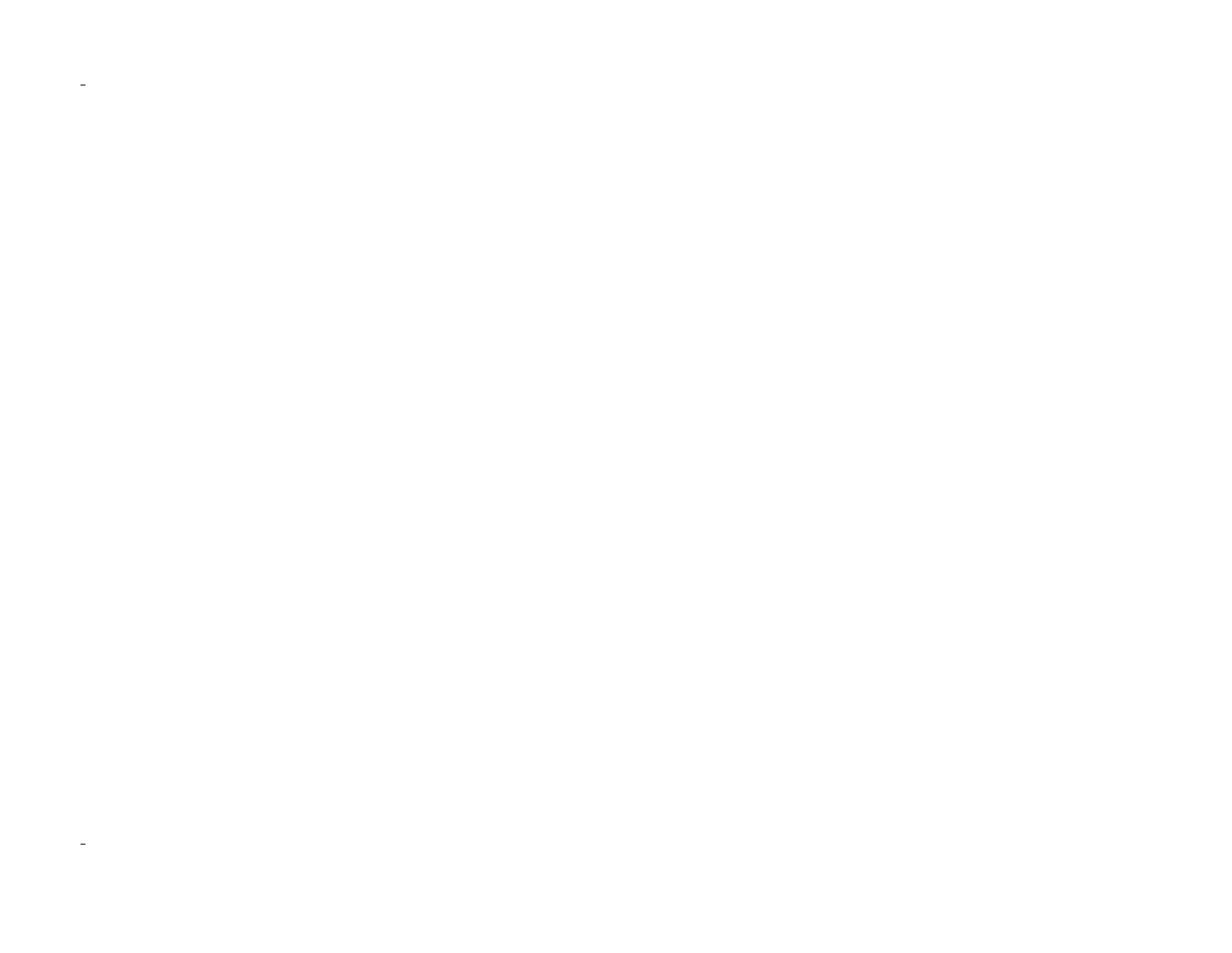$\frac{1}{2} \sum_{i=1}^n \frac{1}{2} \sum_{j=1}^n \frac{1}{2} \sum_{j=1}^n \frac{1}{2} \sum_{j=1}^n \frac{1}{2} \sum_{j=1}^n \frac{1}{2} \sum_{j=1}^n \frac{1}{2} \sum_{j=1}^n \frac{1}{2} \sum_{j=1}^n \frac{1}{2} \sum_{j=1}^n \frac{1}{2} \sum_{j=1}^n \frac{1}{2} \sum_{j=1}^n \frac{1}{2} \sum_{j=1}^n \frac{1}{2} \sum_{j=1}^n \frac{1}{2} \sum_{j=$  $\frac{1}{2}$  , and  $\frac{1}{2}$  , and  $\frac{1}{2}$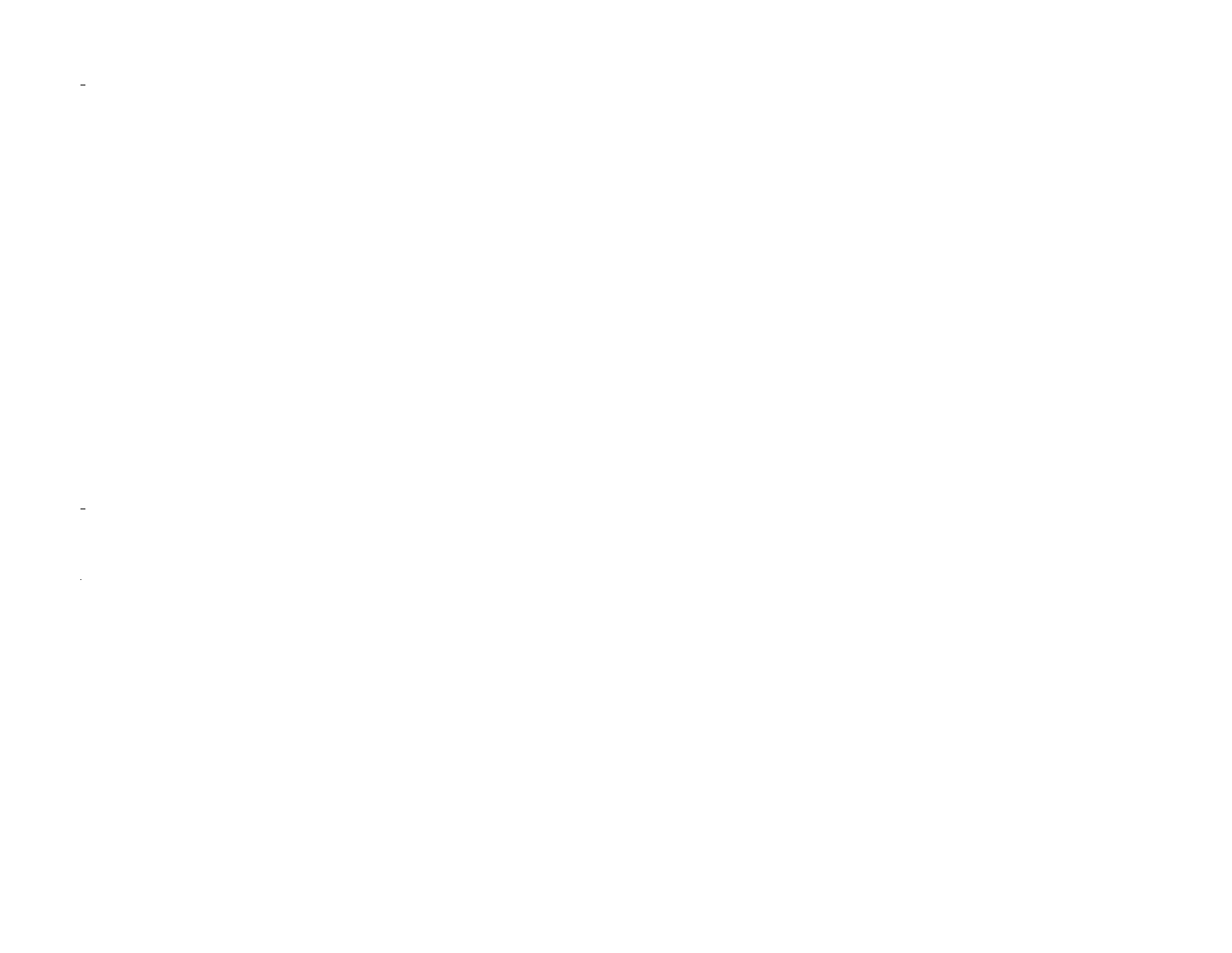$\frac{1}{2} \sum_{i=1}^n \frac{1}{2} \sum_{j=1}^n \frac{1}{2} \sum_{j=1}^n \frac{1}{2} \sum_{j=1}^n \frac{1}{2} \sum_{j=1}^n \frac{1}{2} \sum_{j=1}^n \frac{1}{2} \sum_{j=1}^n \frac{1}{2} \sum_{j=1}^n \frac{1}{2} \sum_{j=1}^n \frac{1}{2} \sum_{j=1}^n \frac{1}{2} \sum_{j=1}^n \frac{1}{2} \sum_{j=1}^n \frac{1}{2} \sum_{j=1}^n \frac{1}{2} \sum_{j=$ 

 $\frac{1}{2} \sum_{i=1}^n \frac{1}{2} \sum_{j=1}^n \frac{1}{2} \sum_{j=1}^n \frac{1}{2} \sum_{j=1}^n \frac{1}{2} \sum_{j=1}^n \frac{1}{2} \sum_{j=1}^n \frac{1}{2} \sum_{j=1}^n \frac{1}{2} \sum_{j=1}^n \frac{1}{2} \sum_{j=1}^n \frac{1}{2} \sum_{j=1}^n \frac{1}{2} \sum_{j=1}^n \frac{1}{2} \sum_{j=1}^n \frac{1}{2} \sum_{j=1}^n \frac{1}{2} \sum_{j=$ 

 $\label{eq:2.1} \mathcal{L}^{\mathcal{A}}_{\mathcal{A}}(\mathcal{A})=\mathcal{L}^{\mathcal{A}}_{\mathcal{A}}(\mathcal{A})=\mathcal{L}^{\mathcal{A}}_{\mathcal{A}}(\mathcal{A})=\mathcal{L}^{\mathcal{A}}_{\mathcal{A}}(\mathcal{A}).$